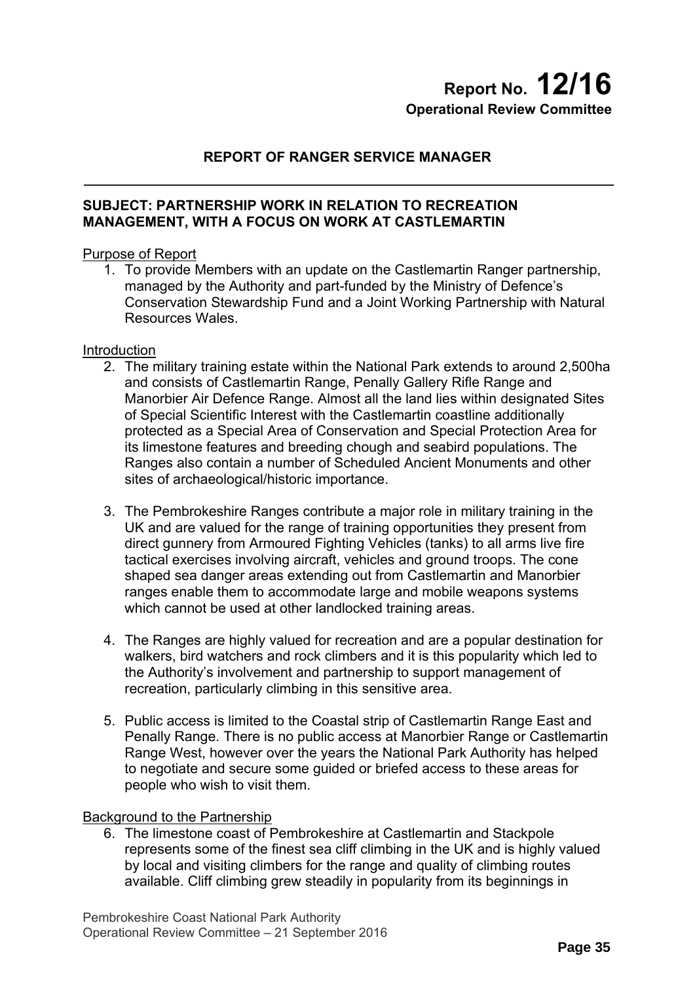# **Report No. 12/16 Operational Review Committee**

# **REPORT OF RANGER SERVICE MANAGER**

## **SUBJECT: PARTNERSHIP WORK IN RELATION TO RECREATION MANAGEMENT, WITH A FOCUS ON WORK AT CASTLEMARTIN**

## Purpose of Report

1. To provide Members with an update on the Castlemartin Ranger partnership, managed by the Authority and part-funded by the Ministry of Defence's Conservation Stewardship Fund and a Joint Working Partnership with Natural Resources Wales.

#### **Introduction**

- 2. The military training estate within the National Park extends to around 2,500ha and consists of Castlemartin Range, Penally Gallery Rifle Range and Manorbier Air Defence Range. Almost all the land lies within designated Sites of Special Scientific Interest with the Castlemartin coastline additionally protected as a Special Area of Conservation and Special Protection Area for its limestone features and breeding chough and seabird populations. The Ranges also contain a number of Scheduled Ancient Monuments and other sites of archaeological/historic importance.
- 3. The Pembrokeshire Ranges contribute a major role in military training in the UK and are valued for the range of training opportunities they present from direct gunnery from Armoured Fighting Vehicles (tanks) to all arms live fire tactical exercises involving aircraft, vehicles and ground troops. The cone shaped sea danger areas extending out from Castlemartin and Manorbier ranges enable them to accommodate large and mobile weapons systems which cannot be used at other landlocked training areas.
- 4. The Ranges are highly valued for recreation and are a popular destination for walkers, bird watchers and rock climbers and it is this popularity which led to the Authority's involvement and partnership to support management of recreation, particularly climbing in this sensitive area.
- 5. Public access is limited to the Coastal strip of Castlemartin Range East and Penally Range. There is no public access at Manorbier Range or Castlemartin Range West, however over the years the National Park Authority has helped to negotiate and secure some guided or briefed access to these areas for people who wish to visit them.

#### Background to the Partnership

6. The limestone coast of Pembrokeshire at Castlemartin and Stackpole represents some of the finest sea cliff climbing in the UK and is highly valued by local and visiting climbers for the range and quality of climbing routes available. Cliff climbing grew steadily in popularity from its beginnings in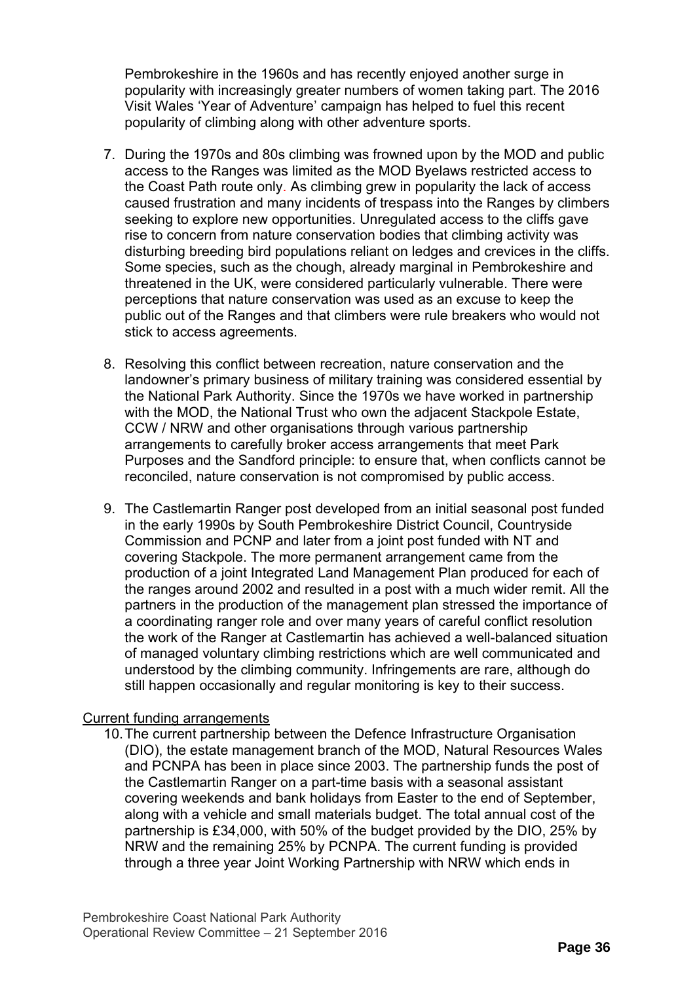Pembrokeshire in the 1960s and has recently enjoyed another surge in popularity with increasingly greater numbers of women taking part. The 2016 Visit Wales 'Year of Adventure' campaign has helped to fuel this recent popularity of climbing along with other adventure sports.

- 7. During the 1970s and 80s climbing was frowned upon by the MOD and public access to the Ranges was limited as the MOD Byelaws restricted access to the Coast Path route only. As climbing grew in popularity the lack of access caused frustration and many incidents of trespass into the Ranges by climbers seeking to explore new opportunities. Unregulated access to the cliffs gave rise to concern from nature conservation bodies that climbing activity was disturbing breeding bird populations reliant on ledges and crevices in the cliffs. Some species, such as the chough, already marginal in Pembrokeshire and threatened in the UK, were considered particularly vulnerable. There were perceptions that nature conservation was used as an excuse to keep the public out of the Ranges and that climbers were rule breakers who would not stick to access agreements.
- 8. Resolving this conflict between recreation, nature conservation and the landowner's primary business of military training was considered essential by the National Park Authority. Since the 1970s we have worked in partnership with the MOD, the National Trust who own the adjacent Stackpole Estate, CCW / NRW and other organisations through various partnership arrangements to carefully broker access arrangements that meet Park Purposes and the Sandford principle: to ensure that, when conflicts cannot be reconciled, nature conservation is not compromised by public access.
- 9. The Castlemartin Ranger post developed from an initial seasonal post funded in the early 1990s by South Pembrokeshire District Council, Countryside Commission and PCNP and later from a joint post funded with NT and covering Stackpole. The more permanent arrangement came from the production of a joint Integrated Land Management Plan produced for each of the ranges around 2002 and resulted in a post with a much wider remit. All the partners in the production of the management plan stressed the importance of a coordinating ranger role and over many years of careful conflict resolution the work of the Ranger at Castlemartin has achieved a well-balanced situation of managed voluntary climbing restrictions which are well communicated and understood by the climbing community. Infringements are rare, although do still happen occasionally and regular monitoring is key to their success.

## Current funding arrangements

10. The current partnership between the Defence Infrastructure Organisation (DIO), the estate management branch of the MOD, Natural Resources Wales and PCNPA has been in place since 2003. The partnership funds the post of the Castlemartin Ranger on a part-time basis with a seasonal assistant covering weekends and bank holidays from Easter to the end of September, along with a vehicle and small materials budget. The total annual cost of the partnership is £34,000, with 50% of the budget provided by the DIO, 25% by NRW and the remaining 25% by PCNPA. The current funding is provided through a three year Joint Working Partnership with NRW which ends in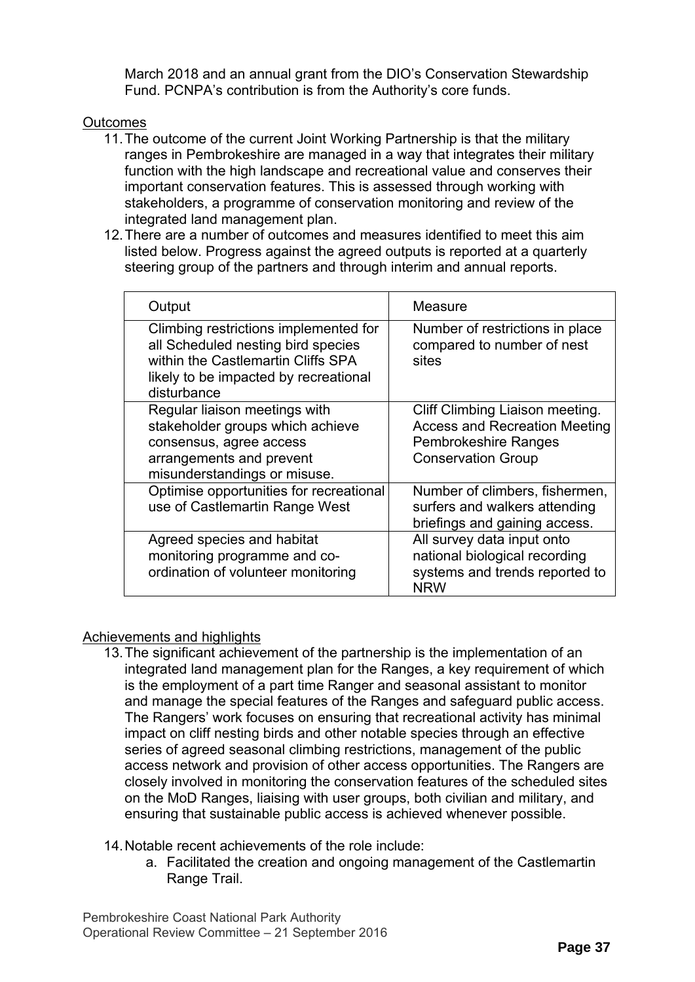March 2018 and an annual grant from the DIO's Conservation Stewardship Fund. PCNPA's contribution is from the Authority's core funds.

# **Outcomes**

- 11. The outcome of the current Joint Working Partnership is that the military ranges in Pembrokeshire are managed in a way that integrates their military function with the high landscape and recreational value and conserves their important conservation features. This is assessed through working with stakeholders, a programme of conservation monitoring and review of the integrated land management plan.
- 12. There are a number of outcomes and measures identified to meet this aim listed below. Progress against the agreed outputs is reported at a quarterly steering group of the partners and through interim and annual reports.

| Output                                                                                                                                                                    | Measure                                                                                                                             |
|---------------------------------------------------------------------------------------------------------------------------------------------------------------------------|-------------------------------------------------------------------------------------------------------------------------------------|
| Climbing restrictions implemented for<br>all Scheduled nesting bird species<br>within the Castlemartin Cliffs SPA<br>likely to be impacted by recreational<br>disturbance | Number of restrictions in place<br>compared to number of nest<br>sites                                                              |
| Regular liaison meetings with<br>stakeholder groups which achieve<br>consensus, agree access<br>arrangements and prevent<br>misunderstandings or misuse.                  | Cliff Climbing Liaison meeting.<br><b>Access and Recreation Meeting</b><br><b>Pembrokeshire Ranges</b><br><b>Conservation Group</b> |
| Optimise opportunities for recreational<br>use of Castlemartin Range West                                                                                                 | Number of climbers, fishermen,<br>surfers and walkers attending<br>briefings and gaining access.                                    |
| Agreed species and habitat<br>monitoring programme and co-<br>ordination of volunteer monitoring                                                                          | All survey data input onto<br>national biological recording<br>systems and trends reported to<br><b>NRW</b>                         |

## Achievements and highlights

- 13. The significant achievement of the partnership is the implementation of an integrated land management plan for the Ranges, a key requirement of which is the employment of a part time Ranger and seasonal assistant to monitor and manage the special features of the Ranges and safeguard public access. The Rangers' work focuses on ensuring that recreational activity has minimal impact on cliff nesting birds and other notable species through an effective series of agreed seasonal climbing restrictions, management of the public access network and provision of other access opportunities. The Rangers are closely involved in monitoring the conservation features of the scheduled sites on the MoD Ranges, liaising with user groups, both civilian and military, and ensuring that sustainable public access is achieved whenever possible.
- 14. Notable recent achievements of the role include:
	- a. Facilitated the creation and ongoing management of the Castlemartin Range Trail.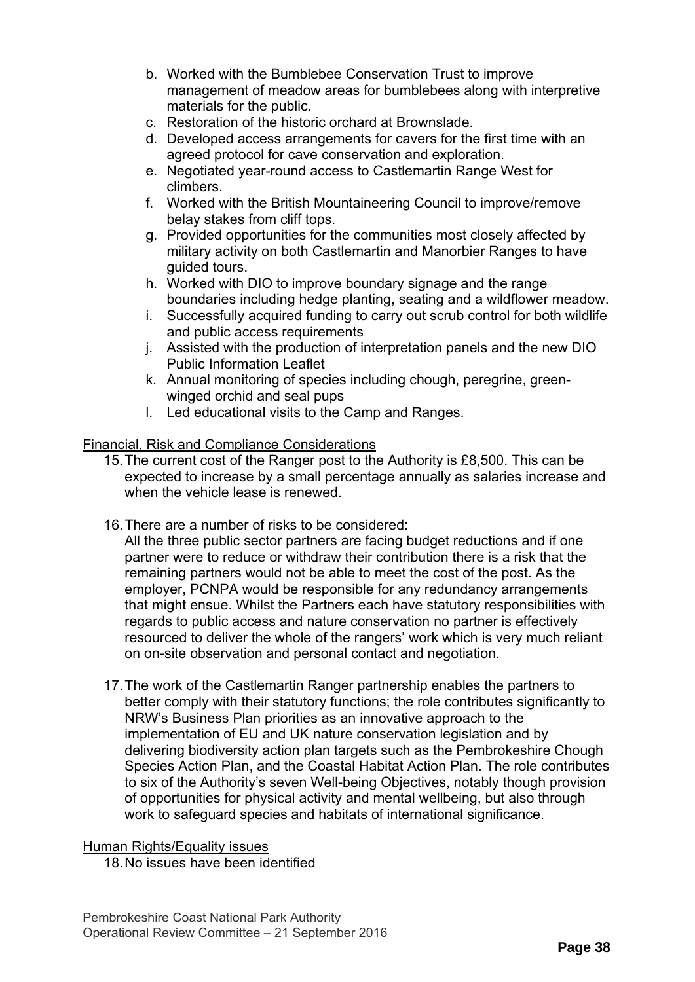- b. Worked with the Bumblebee Conservation Trust to improve management of meadow areas for bumblebees along with interpretive materials for the public.
- c. Restoration of the historic orchard at Brownslade.
- d. Developed access arrangements for cavers for the first time with an agreed protocol for cave conservation and exploration.
- e. Negotiated year-round access to Castlemartin Range West for climbers.
- f. Worked with the British Mountaineering Council to improve/remove belay stakes from cliff tops.
- g. Provided opportunities for the communities most closely affected by military activity on both Castlemartin and Manorbier Ranges to have guided tours.
- h. Worked with DIO to improve boundary signage and the range boundaries including hedge planting, seating and a wildflower meadow.
- i. Successfully acquired funding to carry out scrub control for both wildlife and public access requirements
- j. Assisted with the production of interpretation panels and the new DIO Public Information Leaflet
- k. Annual monitoring of species including chough, peregrine, greenwinged orchid and seal pups
- l. Led educational visits to the Camp and Ranges.

## Financial, Risk and Compliance Considerations

- 15. The current cost of the Ranger post to the Authority is £8,500. This can be expected to increase by a small percentage annually as salaries increase and when the vehicle lease is renewed.
- 16. There are a number of risks to be considered:

All the three public sector partners are facing budget reductions and if one partner were to reduce or withdraw their contribution there is a risk that the remaining partners would not be able to meet the cost of the post. As the employer, PCNPA would be responsible for any redundancy arrangements that might ensue. Whilst the Partners each have statutory responsibilities with regards to public access and nature conservation no partner is effectively resourced to deliver the whole of the rangers' work which is very much reliant on on-site observation and personal contact and negotiation.

17. The work of the Castlemartin Ranger partnership enables the partners to better comply with their statutory functions; the role contributes significantly to NRW's Business Plan priorities as an innovative approach to the implementation of EU and UK nature conservation legislation and by delivering biodiversity action plan targets such as the Pembrokeshire Chough Species Action Plan, and the Coastal Habitat Action Plan. The role contributes to six of the Authority's seven Well-being Objectives, notably though provision of opportunities for physical activity and mental wellbeing, but also through work to safeguard species and habitats of international significance.

#### Human Rights/Equality issues

18. No issues have been identified